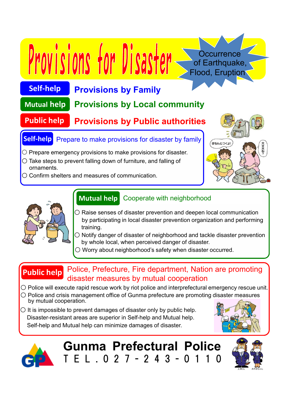### **Self-help Provisions by Family**

Provisions for Disaster

#### **Mutual help Provisions by Local community**

### **Public help Provisions by Public authorities**

# **Self-help** Prepare to make provisions for disaster by family

- $\circ$  Prepare emergency provisions to make provisions for disaster.
- $\bigcirc$  Take steps to prevent falling down of furniture, and falling of ornaments.
- Confirm shelters and measures of communication.



**Occurrence** of Earthquake, Flood, Eruption



# **Mutual help** Cooperate with neighborhood

- $\bigcirc$  Raise senses of disaster prevention and deepen local communication by participating in local disaster prevention organization and performing training.
- Notify danger of disaster of neighborhood and tackle disaster prevention by whole local, when perceived danger of disaster.
- Worry about neighborhood's safety when disaster occurred.

### **Public help** Police, Prefecture, Fire department, Nation are promoting disaster measures by mutual cooperation

- Police will execute rapid rescue work by riot police and interprefectural emergency rescue unit.
- Police and crisis management office of Gunma prefecture are promoting disaster measures by mutual cooperation.
- $\bigcirc$  It is impossible to prevent damages of disaster only by public help. Disaster-resistant areas are superior in Self-help and Mutual help. Self-help and Mutual help can minimize damages of disaster.